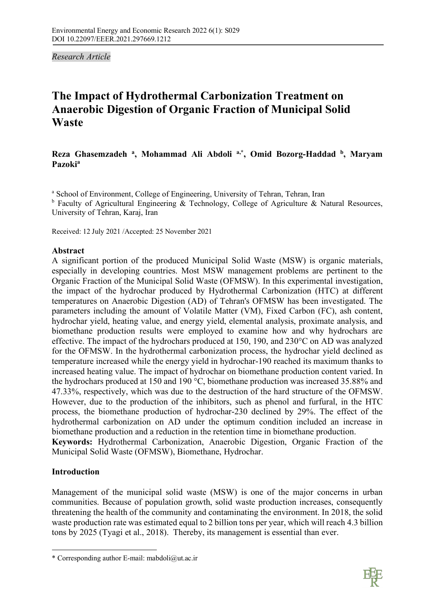*Research Article* 

# **The Impact of Hydrothermal Carbonization Treatment on Anaerobic Digestion of Organic Fraction of Municipal Solid Waste**

# **Reza Ghasemzadeh a, Mohammad Ali Abdoli a,\*, Omid Bozorg-Haddad b, Maryam Pazokia**

<sup>a</sup> School of Environment, College of Engineering, University of Tehran, Tehran, Iran  $<sup>b</sup>$  Faculty of Agricultural Engineering & Technology, College of Agriculture & Natural Resources,</sup> University of Tehran, Karaj, Iran

Received: 12 July 2021 /Accepted: 25 November 2021

# **Abstract**

A significant portion of the produced Municipal Solid Waste (MSW) is organic materials, especially in developing countries. Most MSW management problems are pertinent to the Organic Fraction of the Municipal Solid Waste (OFMSW). In this experimental investigation, the impact of the hydrochar produced by Hydrothermal Carbonization (HTC) at different temperatures on Anaerobic Digestion (AD) of Tehran's OFMSW has been investigated. The parameters including the amount of Volatile Matter (VM), Fixed Carbon (FC), ash content, hydrochar yield, heating value, and energy yield, elemental analysis, proximate analysis, and biomethane production results were employed to examine how and why hydrochars are effective. The impact of the hydrochars produced at 150, 190, and 230°C on AD was analyzed for the OFMSW. In the hydrothermal carbonization process, the hydrochar yield declined as temperature increased while the energy yield in hydrochar-190 reached its maximum thanks to increased heating value. The impact of hydrochar on biomethane production content varied. In the hydrochars produced at 150 and 190 °C, biomethane production was increased 35.88% and 47.33%, respectively, which was due to the destruction of the hard structure of the OFMSW. However, due to the production of the inhibitors, such as phenol and furfural, in the HTC process, the biomethane production of hydrochar-230 declined by 29%. The effect of the hydrothermal carbonization on AD under the optimum condition included an increase in biomethane production and a reduction in the retention time in biomethane production. **Keywords:** Hydrothermal Carbonization, Anaerobic Digestion, Organic Fraction of the

Municipal Solid Waste (OFMSW), Biomethane, Hydrochar.

# **Introduction**

l

Management of the municipal solid waste (MSW) is one of the major concerns in urban communities. Because of population growth, solid waste production increases, consequently threatening the health of the community and contaminating the environment. In 2018, the solid waste production rate was estimated equal to 2 billion tons per year, which will reach 4.3 billion tons by 2025 (Tyagi et al., 2018). Thereby, its management is essential than ever.



<sup>\*</sup> Corresponding author E-mail: mabdoli@ut.ac.ir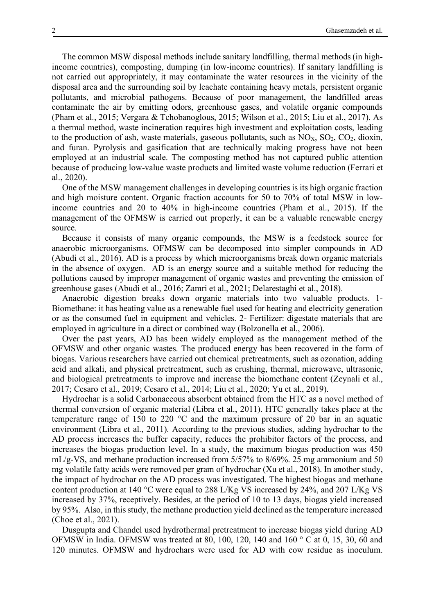The common MSW disposal methods include sanitary landfilling, thermal methods (in highincome countries), composting, dumping (in low-income countries). If sanitary landfilling is not carried out appropriately, it may contaminate the water resources in the vicinity of the disposal area and the surrounding soil by leachate containing heavy metals, persistent organic pollutants, and microbial pathogens. Because of poor management, the landfilled areas contaminate the air by emitting odors, greenhouse gases, and volatile organic compounds (Pham et al., 2015; Vergara & Tchobanoglous, 2015; Wilson et al., 2015; Liu et al., 2017). As a thermal method, waste incineration requires high investment and exploitation costs, leading to the production of ash, waste materials, gaseous pollutants, such as  $NO<sub>X</sub>$ ,  $SO<sub>2</sub>$ ,  $CO<sub>2</sub>$ , dioxin, and furan. Pyrolysis and gasification that are technically making progress have not been employed at an industrial scale. The composting method has not captured public attention because of producing low-value waste products and limited waste volume reduction (Ferrari et al., 2020).

One of the MSW management challenges in developing countries is its high organic fraction and high moisture content. Organic fraction accounts for 50 to 70% of total MSW in lowincome countries and 20 to 40% in high-income countries (Pham et al., 2015). If the management of the OFMSW is carried out properly, it can be a valuable renewable energy source.

Because it consists of many organic compounds, the MSW is a feedstock source for anaerobic microorganisms. OFMSW can be decomposed into simpler compounds in AD (Abudi et al., 2016). AD is a process by which microorganisms break down organic materials in the absence of oxygen. AD is an energy source and a suitable method for reducing the pollutions caused by improper management of organic wastes and preventing the emission of greenhouse gases (Abudi et al., 2016; Zamri et al., 2021; Delarestaghi et al., 2018).

Anaerobic digestion breaks down organic materials into two valuable products. 1- Biomethane: it has heating value as a renewable fuel used for heating and electricity generation or as the consumed fuel in equipment and vehicles. 2- Fertilizer: digestate materials that are employed in agriculture in a direct or combined way (Bolzonella et al., 2006).

Over the past years, AD has been widely employed as the management method of the OFMSW and other organic wastes. The produced energy has been recovered in the form of biogas. Various researchers have carried out chemical pretreatments, such as ozonation, adding acid and alkali, and physical pretreatment, such as crushing, thermal, microwave, ultrasonic, and biological pretreatments to improve and increase the biomethane content (Zeynali et al., 2017; Cesaro et al., 2019; Cesaro et al., 2014; Liu et al., 2020; Yu et al., 2019).

Hydrochar is a solid Carbonaceous absorbent obtained from the HTC as a novel method of thermal conversion of organic material (Libra et al., 2011). HTC generally takes place at the temperature range of 150 to 220 °C and the maximum pressure of 20 bar in an aquatic environment (Libra et al., 2011). According to the previous studies, adding hydrochar to the AD process increases the buffer capacity, reduces the prohibitor factors of the process, and increases the biogas production level. In a study, the maximum biogas production was 450 mL/g-VS, and methane production increased from 5/57% to 8/69%. 25 mg ammonium and 50 mg volatile fatty acids were removed per gram of hydrochar (Xu et al., 2018). In another study, the impact of hydrochar on the AD process was investigated. The highest biogas and methane content production at 140 °C were equal to 288 L/Kg VS increased by 24%, and 207 L/Kg VS increased by 37%, receptively. Besides, at the period of 10 to 13 days, biogas yield increased by 95%. Also, in this study, the methane production yield declined as the temperature increased (Choe et al., 2021).

Dusgupta and Chandel used hydrothermal pretreatment to increase biogas yield during AD OFMSW in India. OFMSW was treated at 80, 100, 120, 140 and 160 ° C at 0, 15, 30, 60 and 120 minutes. OFMSW and hydrochars were used for AD with cow residue as inoculum.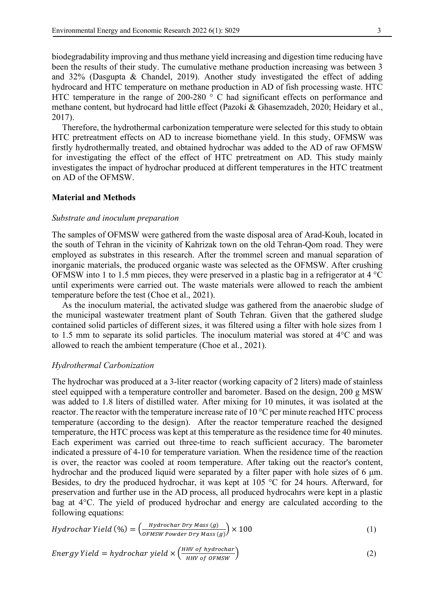biodegradability improving and thus methane yield increasing and digestion time reducing have been the results of their study. The cumulative methane production increasing was between 3 and 32% (Dasgupta & Chandel, 2019). Another study investigated the effect of adding hydrocard and HTC temperature on methane production in AD of fish processing waste. HTC HTC temperature in the range of 200-280 ° C had significant effects on performance and methane content, but hydrocard had little effect (Pazoki & Ghasemzadeh, 2020; Heidary et al., 2017).

Therefore, the hydrothermal carbonization temperature were selected for this study to obtain HTC pretreatment effects on AD to increase biomethane yield. In this study, OFMSW was firstly hydrothermally treated, and obtained hydrochar was added to the AD of raw OFMSW for investigating the effect of the effect of HTC pretreatment on AD. This study mainly investigates the impact of hydrochar produced at different temperatures in the HTC treatment on AD of the OFMSW.

## **Material and Methods**

#### *Substrate and inoculum preparation*

The samples of OFMSW were gathered from the waste disposal area of Arad-Kouh, located in the south of Tehran in the vicinity of Kahrizak town on the old Tehran-Qom road. They were employed as substrates in this research. After the trommel screen and manual separation of inorganic materials, the produced organic waste was selected as the OFMSW. After crushing OFMSW into 1 to 1.5 mm pieces, they were preserved in a plastic bag in a refrigerator at 4 °C until experiments were carried out. The waste materials were allowed to reach the ambient temperature before the test (Choe et al., 2021).

As the inoculum material, the activated sludge was gathered from the anaerobic sludge of the municipal wastewater treatment plant of South Tehran. Given that the gathered sludge contained solid particles of different sizes, it was filtered using a filter with hole sizes from 1 to 1.5 mm to separate its solid particles. The inoculum material was stored at 4°C and was allowed to reach the ambient temperature (Choe et al., 2021).

#### *Hydrothermal Carbonization*

The hydrochar was produced at a 3-liter reactor (working capacity of 2 liters) made of stainless steel equipped with a temperature controller and barometer. Based on the design, 200 g MSW was added to 1.8 liters of distilled water. After mixing for 10 minutes, it was isolated at the reactor. The reactor with the temperature increase rate of 10 °C per minute reached HTC process temperature (according to the design). After the reactor temperature reached the designed temperature, the HTC process was kept at this temperature as the residence time for 40 minutes. Each experiment was carried out three-time to reach sufficient accuracy. The barometer indicated a pressure of 4-10 for temperature variation. When the residence time of the reaction is over, the reactor was cooled at room temperature. After taking out the reactor's content, hydrochar and the produced liquid were separated by a filter paper with hole sizes of 6  $\mu$ m. Besides, to dry the produced hydrochar, it was kept at 105 °C for 24 hours. Afterward, for preservation and further use in the AD process, all produced hydrocahrs were kept in a plastic bag at 4°C. The yield of produced hydrochar and energy are calculated according to the following equations:

$$
Hydrochar Yield \ (\%) = \left(\frac{Hydrochar \ Dry \ Mass(g)}{OFMSW \ Power \ Dry \ Mass(g)}\right) \times 100 \tag{1}
$$

Energy Yield = hydrochar yield 
$$
\times \left( \frac{HHV \text{ of hydrogen}}{HHV \text{ of } OFMSW} \right)
$$
 (2)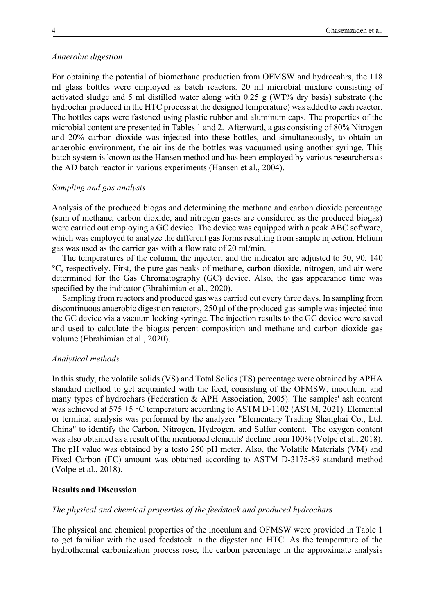#### *Anaerobic digestion*

For obtaining the potential of biomethane production from OFMSW and hydrocahrs, the 118 ml glass bottles were employed as batch reactors. 20 ml microbial mixture consisting of activated sludge and 5 ml distilled water along with 0.25 g (WT% dry basis) substrate (the hydrochar produced in the HTC process at the designed temperature) was added to each reactor. The bottles caps were fastened using plastic rubber and aluminum caps. The properties of the microbial content are presented in Tables 1 and 2. Afterward, a gas consisting of 80% Nitrogen and 20% carbon dioxide was injected into these bottles, and simultaneously, to obtain an anaerobic environment, the air inside the bottles was vacuumed using another syringe. This batch system is known as the Hansen method and has been employed by various researchers as the AD batch reactor in various experiments (Hansen et al., 2004).

# *Sampling and gas analysis*

Analysis of the produced biogas and determining the methane and carbon dioxide percentage (sum of methane, carbon dioxide, and nitrogen gases are considered as the produced biogas) were carried out employing a GC device. The device was equipped with a peak ABC software, which was employed to analyze the different gas forms resulting from sample injection. Helium gas was used as the carrier gas with a flow rate of 20 ml/min.

The temperatures of the column, the injector, and the indicator are adjusted to 50, 90, 140 °C, respectively. First, the pure gas peaks of methane, carbon dioxide, nitrogen, and air were determined for the Gas Chromatography (GC) device. Also, the gas appearance time was specified by the indicator (Ebrahimian et al., 2020).

Sampling from reactors and produced gas was carried out every three days. In sampling from discontinuous anaerobic digestion reactors, 250 µl of the produced gas sample was injected into the GC device via a vacuum locking syringe. The injection results to the GC device were saved and used to calculate the biogas percent composition and methane and carbon dioxide gas volume (Ebrahimian et al., 2020).

# *Analytical methods*

In this study, the volatile solids (VS) and Total Solids (TS) percentage were obtained by APHA standard method to get acquainted with the feed, consisting of the OFMSW, inoculum, and many types of hydrochars (Federation & APH Association, 2005). The samples' ash content was achieved at  $575 \pm 5$  °C temperature according to ASTM D-1102 (ASTM, 2021). Elemental or terminal analysis was performed by the analyzer "Elementary Trading Shanghai Co., Ltd. China" to identify the Carbon, Nitrogen, Hydrogen, and Sulfur content. The oxygen content was also obtained as a result of the mentioned elements' decline from 100% (Volpe et al., 2018). The pH value was obtained by a testo 250 pH meter. Also, the Volatile Materials (VM) and Fixed Carbon (FC) amount was obtained according to ASTM D-3175-89 standard method (Volpe et al., 2018).

# **Results and Discussion**

## *The physical and chemical properties of the feedstock and produced hydrochars*

The physical and chemical properties of the inoculum and OFMSW were provided in Table 1 to get familiar with the used feedstock in the digester and HTC. As the temperature of the hydrothermal carbonization process rose, the carbon percentage in the approximate analysis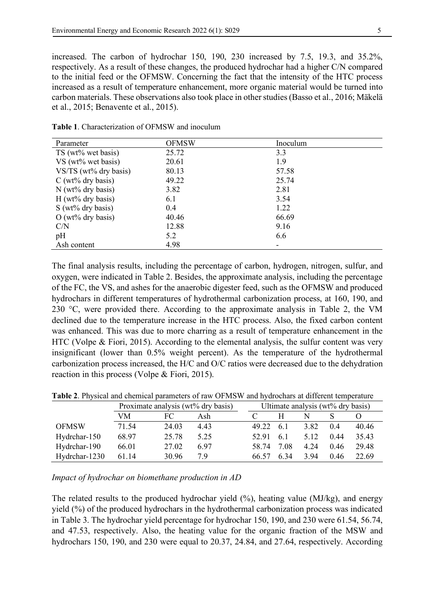increased. The carbon of hydrochar 150, 190, 230 increased by 7.5, 19.3, and 35.2%, respectively. As a result of these changes, the produced hydrochar had a higher C/N compared to the initial feed or the OFMSW. Concerning the fact that the intensity of the HTC process increased as a result of temperature enhancement, more organic material would be turned into carbon materials. These observations also took place in other studies(Basso et al., 2016; Mäkelä et al., 2015; Benavente et al., 2015).

| Parameter                 | <b>OFMSW</b> | Inoculum |
|---------------------------|--------------|----------|
| TS (wt% wet basis)        | 25.72        | 3.3      |
| VS (wt% wet basis)        | 20.61        | 1.9      |
| VS/TS ( $wt\%$ dry basis) | 80.13        | 57.58    |
| $C$ (wt% dry basis)       | 49.22        | 25.74    |
| $N$ (wt% dry basis)       | 3.82         | 2.81     |
| $H (wt\%$ dry basis)      | 6.1          | 3.54     |
| $S(wt\%$ dry basis)       | 0.4          | 1.22     |
| $O(wt\%$ dry basis)       | 40.46        | 66.69    |
| C/N                       | 12.88        | 9.16     |
| pH                        | 5.2          | 6.6      |
| Ash content               | 4.98         |          |

**Table 1**. Characterization of OFMSW and inoculum

The final analysis results, including the percentage of carbon, hydrogen, nitrogen, sulfur, and oxygen, were indicated in Table 2. Besides, the approximate analysis, including the percentage of the FC, the VS, and ashes for the anaerobic digester feed, such as the OFMSW and produced hydrochars in different temperatures of hydrothermal carbonization process, at 160, 190, and 230 °C, were provided there. According to the approximate analysis in Table 2, the VM declined due to the temperature increase in the HTC process. Also, the fixed carbon content was enhanced. This was due to more charring as a result of temperature enhancement in the HTC (Volpe & Fiori, 2015). According to the elemental analysis, the sulfur content was very insignificant (lower than 0.5% weight percent). As the temperature of the hydrothermal carbonization process increased, the H/C and O/C ratios were decreased due to the dehydration reaction in this process (Volpe & Fiori, 2015).

|               | Proximate analysis (wt% dry basis) |       | Ultimate analysis (wt% dry basis) |  |       |      |      |      |       |
|---------------|------------------------------------|-------|-----------------------------------|--|-------|------|------|------|-------|
|               | VM                                 | FC    | Ash                               |  |       |      |      |      |       |
| <b>OFMSW</b>  | 71.54                              | 24.03 | 4.43                              |  | 49.22 | 6.1  | 3.82 | 04   | 40.46 |
| Hydrchar-150  | 68.97                              | 25.78 | 5.25                              |  | 52.91 | 6.1  | 5.12 | 0.44 | 35.43 |
| Hydrchar-190  | 66.01                              | 27.02 | 697                               |  | 58.74 | 7 08 | 4.24 | 0.46 | 29.48 |
| Hydrchar-1230 | 61.14                              | 30.96 | 79                                |  | 66.57 | 6 34 | 394  | 0.46 | 22.69 |

**Table 2**. Physical and chemical parameters of raw OFMSW and hydrochars at different temperature

*Impact of hydrochar on biomethane production in AD*

The related results to the produced hydrochar yield (%), heating value (MJ/kg), and energy yield (%) of the produced hydrochars in the hydrothermal carbonization process was indicated in Table 3. The hydrochar yield percentage for hydrochar 150, 190, and 230 were 61.54, 56.74, and 47.53, respectively. Also, the heating value for the organic fraction of the MSW and hydrochars 150, 190, and 230 were equal to 20.37, 24.84, and 27.64, respectively. According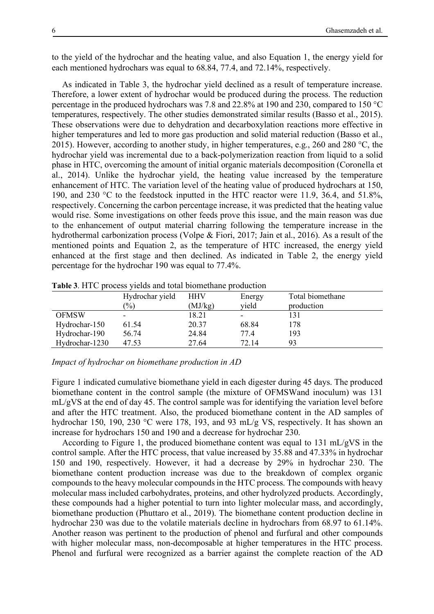to the yield of the hydrochar and the heating value, and also Equation 1, the energy yield for each mentioned hydrochars was equal to 68.84, 77.4, and 72.14%, respectively.

As indicated in Table 3, the hydrochar yield declined as a result of temperature increase. Therefore, a lower extent of hydrochar would be produced during the process. The reduction percentage in the produced hydrochars was 7.8 and 22.8% at 190 and 230, compared to 150 °C temperatures, respectively. The other studies demonstrated similar results (Basso et al., 2015). These observations were due to dehydration and decarboxylation reactions more effective in higher temperatures and led to more gas production and solid material reduction (Basso et al., 2015). However, according to another study, in higher temperatures, e.g., 260 and 280 °C, the hydrochar yield was incremental due to a back-polymerization reaction from liquid to a solid phase in HTC, overcoming the amount of initial organic materials decomposition (Coronella et al., 2014). Unlike the hydrochar yield, the heating value increased by the temperature enhancement of HTC. The variation level of the heating value of produced hydrochars at 150, 190, and 230 °C to the feedstock inputted in the HTC reactor were 11.9, 36.4, and 51.8%, respectively. Concerning the carbon percentage increase, it was predicted that the heating value would rise. Some investigations on other feeds prove this issue, and the main reason was due to the enhancement of output material charring following the temperature increase in the hydrothermal carbonization process (Volpe & Fiori, 2017; Jain et al., 2016). As a result of the mentioned points and Equation 2, as the temperature of HTC increased, the energy yield enhanced at the first stage and then declined. As indicated in Table 2, the energy yield percentage for the hydrochar 190 was equal to 77.4%.

|                | Hydrochar yield            | HHV     | Energy | Total biomethane |
|----------------|----------------------------|---------|--------|------------------|
|                | $\left(\frac{0}{0}\right)$ | (MJ/kg) | yield  | production       |
| <b>OFMSW</b>   | ٠                          | 18.21   | -      | 131              |
| Hydrochar-150  | 61.54                      | 20.37   | 68.84  | 178              |
| Hydrochar-190  | 56.74                      | 24.84   | 77.4   | 193              |
| Hydrochar-1230 | 47.53                      | 27.64   | 72.14  | 93               |

**Table 3**. HTC process yields and total biomethane production

*Impact of hydrochar on biomethane production in AD*

Figure 1 indicated cumulative biomethane yield in each digester during 45 days. The produced biomethane content in the control sample (the mixture of OFMSWand inoculum) was 131 mL/gVS at the end of day 45. The control sample was for identifying the variation level before and after the HTC treatment. Also, the produced biomethane content in the AD samples of hydrochar 150, 190, 230 °C were 178, 193, and 93 mL/g VS, respectively. It has shown an increase for hydrochars 150 and 190 and a decrease for hydrochar 230.

According to Figure 1, the produced biomethane content was equal to 131 mL/gVS in the control sample. After the HTC process, that value increased by 35.88 and 47.33% in hydrochar 150 and 190, respectively. However, it had a decrease by 29% in hydrochar 230. The biomethane content production increase was due to the breakdown of complex organic compounds to the heavy molecular compounds in the HTC process. The compounds with heavy molecular mass included carbohydrates, proteins, and other hydrolyzed products. Accordingly, these compounds had a higher potential to turn into lighter molecular mass, and accordingly, biomethane production (Phuttaro et al., 2019). The biomethane content production decline in hydrochar 230 was due to the volatile materials decline in hydrochars from 68.97 to 61.14%. Another reason was pertinent to the production of phenol and furfural and other compounds with higher molecular mass, non-decomposable at higher temperatures in the HTC process. Phenol and furfural were recognized as a barrier against the complete reaction of the AD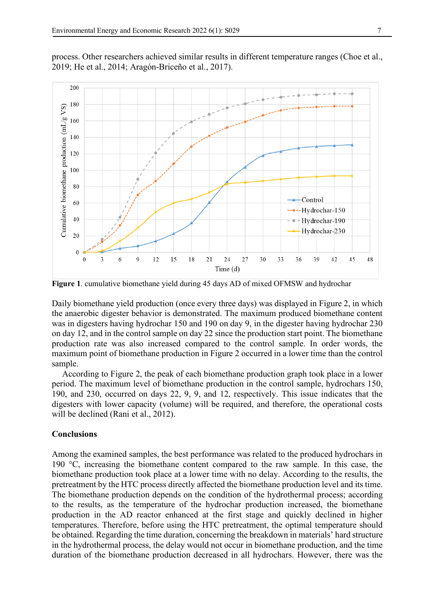

process. Other researchers achieved similar results in different temperature ranges (Choe et al., 2019; He et al., 2014; Aragón-Briceño et al., 2017).

**Figure 1**. cumulative biomethane yield during 45 days AD of mixed OFMSW and hydrochar

Daily biomethane yield production (once every three days) was displayed in Figure 2, in which the anaerobic digester behavior is demonstrated. The maximum produced biomethane content was in digesters having hydrochar 150 and 190 on day 9, in the digester having hydrochar 230 on day 12, and in the control sample on day 22 since the production start point. The biomethane production rate was also increased compared to the control sample. In order words, the maximum point of biomethane production in Figure 2 occurred in a lower time than the control sample.

According to Figure 2, the peak of each biomethane production graph took place in a lower period. The maximum level of biomethane production in the control sample, hydrochars 150, 190, and 230, occurred on days 22, 9, 9, and 12, respectively. This issue indicates that the digesters with lower capacity (volume) will be required, and therefore, the operational costs will be declined (Rani et al., 2012).

# **Conclusions**

Among the examined samples, the best performance was related to the produced hydrochars in 190 °C, increasing the biomethane content compared to the raw sample. In this case, the biomethane production took place at a lower time with no delay. According to the results, the pretreatment by the HTC process directly affected the biomethane production level and its time. The biomethane production depends on the condition of the hydrothermal process; according to the results, as the temperature of the hydrochar production increased, the biomethane production in the AD reactor enhanced at the first stage and quickly declined in higher temperatures. Therefore, before using the HTC pretreatment, the optimal temperature should be obtained. Regarding the time duration, concerning the breakdown in materials' hard structure in the hydrothermal process, the delay would not occur in biomethane production, and the time duration of the biomethane production decreased in all hydrochars. However, there was the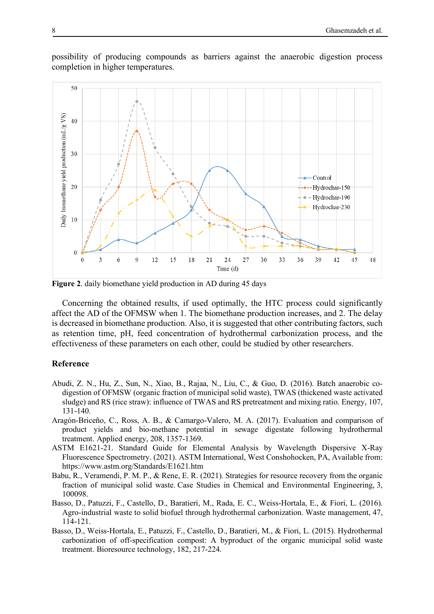

possibility of producing compounds as barriers against the anaerobic digestion process completion in higher temperatures.

**Figure 2**. daily biomethane yield production in AD during 45 days

Concerning the obtained results, if used optimally, the HTC process could significantly affect the AD of the OFMSW when 1. The biomethane production increases, and 2. The delay is decreased in biomethane production. Also, it is suggested that other contributing factors, such as retention time, pH, feed concentration of hydrothermal carbonization process, and the effectiveness of these parameters on each other, could be studied by other researchers.

## **Reference**

- Abudi, Z. N., Hu, Z., Sun, N., Xiao, B., Rajaa, N., Liu, C., & Guo, D. (2016). Batch anaerobic codigestion of OFMSW (organic fraction of municipal solid waste), TWAS (thickened waste activated sludge) and RS (rice straw): influence of TWAS and RS pretreatment and mixing ratio. Energy, 107, 131-140.
- Aragón-Briceño, C., Ross, A. B., & Camargo-Valero, M. A. (2017). Evaluation and comparison of product yields and bio-methane potential in sewage digestate following hydrothermal treatment. Applied energy, 208, 1357-1369.
- ASTM E1621-21. Standard Guide for Elemental Analysis by Wavelength Dispersive X-Ray Fluorescence Spectrometry. (2021). ASTM International, West Conshohocken, PA, Available from: https://www.astm.org/Standards/E1621.htm
- Babu, R., Veramendi, P. M. P., & Rene, E. R. (2021). Strategies for resource recovery from the organic fraction of municipal solid waste. Case Studies in Chemical and Environmental Engineering, 3, 100098.
- Basso, D., Patuzzi, F., Castello, D., Baratieri, M., Rada, E. C., Weiss-Hortala, E., & Fiori, L. (2016). Agro-industrial waste to solid biofuel through hydrothermal carbonization. Waste management, 47, 114-121.
- Basso, D., Weiss-Hortala, E., Patuzzi, F., Castello, D., Baratieri, M., & Fiori, L. (2015). Hydrothermal carbonization of off-specification compost: A byproduct of the organic municipal solid waste treatment. Bioresource technology, 182, 217-224.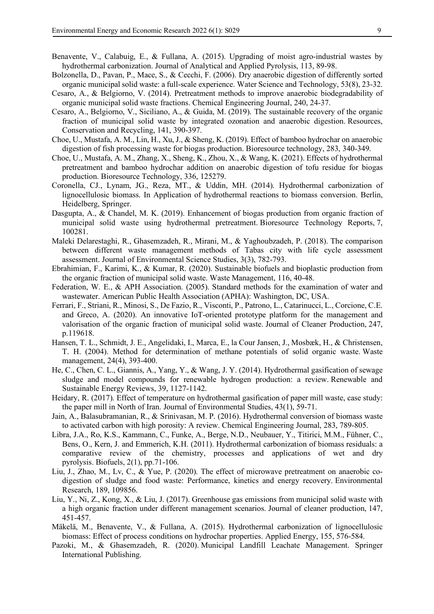- Benavente, V., Calabuig, E., & Fullana, A. (2015). Upgrading of moist agro-industrial wastes by hydrothermal carbonization. Journal of Analytical and Applied Pyrolysis, 113, 89-98.
- Bolzonella, D., Pavan, P., Mace, S., & Cecchi, F. (2006). Dry anaerobic digestion of differently sorted organic municipal solid waste: a full-scale experience. Water Science and Technology, 53(8), 23-32.
- Cesaro, A., & Belgiorno, V. (2014). Pretreatment methods to improve anaerobic biodegradability of organic municipal solid waste fractions. Chemical Engineering Journal, 240, 24-37.
- Cesaro, A., Belgiorno, V., Siciliano, A., & Guida, M. (2019). The sustainable recovery of the organic fraction of municipal solid waste by integrated ozonation and anaerobic digestion. Resources, Conservation and Recycling, 141, 390-397.
- Choe, U., Mustafa, A. M., Lin, H., Xu, J., & Sheng, K. (2019). Effect of bamboo hydrochar on anaerobic digestion of fish processing waste for biogas production. Bioresource technology, 283, 340-349.
- Choe, U., Mustafa, A. M., Zhang, X., Sheng, K., Zhou, X., & Wang, K. (2021). Effects of hydrothermal pretreatment and bamboo hydrochar addition on anaerobic digestion of tofu residue for biogas production. Bioresource Technology, 336, 125279.
- Coronella, CJ., Lynam, JG., Reza, MT., & Uddin, MH. (2014). Hydrothermal carbonization of lignocellulosic biomass. In Application of hydrothermal reactions to biomass conversion. Berlin, Heidelberg, Springer.
- Dasgupta, A., & Chandel, M. K. (2019). Enhancement of biogas production from organic fraction of municipal solid waste using hydrothermal pretreatment. Bioresource Technology Reports, 7, 100281.
- Maleki Delarestaghi, R., Ghasemzadeh, R., Mirani, M., & Yaghoubzadeh, P. (2018). The comparison between different waste management methods of Tabas city with life cycle assessment assessment. Journal of Environmental Science Studies, 3(3), 782-793.
- Ebrahimian, F., Karimi, K., & Kumar, R. (2020). Sustainable biofuels and bioplastic production from the organic fraction of municipal solid waste. Waste Management, 116, 40-48.
- Federation, W. E., & APH Association. (2005). Standard methods for the examination of water and wastewater. American Public Health Association (APHA): Washington, DC, USA.
- Ferrari, F., Striani, R., Minosi, S., De Fazio, R., Visconti, P., Patrono, L., Catarinucci, L., Corcione, C.E. and Greco, A. (2020). An innovative IoT-oriented prototype platform for the management and valorisation of the organic fraction of municipal solid waste. Journal of Cleaner Production, 247, p.119618.
- Hansen, T. L., Schmidt, J. E., Angelidaki, I., Marca, E., la Cour Jansen, J., Mosbæk, H., & Christensen, T. H. (2004). Method for determination of methane potentials of solid organic waste. Waste management, 24(4), 393-400.
- He, C., Chen, C. L., Giannis, A., Yang, Y., & Wang, J. Y. (2014). Hydrothermal gasification of sewage sludge and model compounds for renewable hydrogen production: a review. Renewable and Sustainable Energy Reviews, 39, 1127-1142.
- Heidary, R. (2017). Effect of temperature on hydrothermal gasification of paper mill waste, case study: the paper mill in North of Iran. Journal of Environmental Studies, 43(1), 59-71.
- Jain, A., Balasubramanian, R., & Srinivasan, M. P. (2016). Hydrothermal conversion of biomass waste to activated carbon with high porosity: A review. Chemical Engineering Journal, 283, 789-805.
- Libra, J.A., Ro, K.S., Kammann, C., Funke, A., Berge, N.D., Neubauer, Y., Titirici, M.M., Fühner, C., Bens, O., Kern, J. and Emmerich, K.H. (2011). Hydrothermal carbonization of biomass residuals: a comparative review of the chemistry, processes and applications of wet and dry pyrolysis. Biofuels, 2(1), pp.71-106.
- Liu, J., Zhao, M., Lv, C., & Yue, P. (2020). The effect of microwave pretreatment on anaerobic codigestion of sludge and food waste: Performance, kinetics and energy recovery. Environmental Research, 189, 109856.
- Liu, Y., Ni, Z., Kong, X., & Liu, J. (2017). Greenhouse gas emissions from municipal solid waste with a high organic fraction under different management scenarios. Journal of cleaner production, 147, 451-457.
- Mäkelä, M., Benavente, V., & Fullana, A. (2015). Hydrothermal carbonization of lignocellulosic biomass: Effect of process conditions on hydrochar properties. Applied Energy, 155, 576-584.
- Pazoki, M., & Ghasemzadeh, R. (2020). Municipal Landfill Leachate Management. Springer International Publishing.